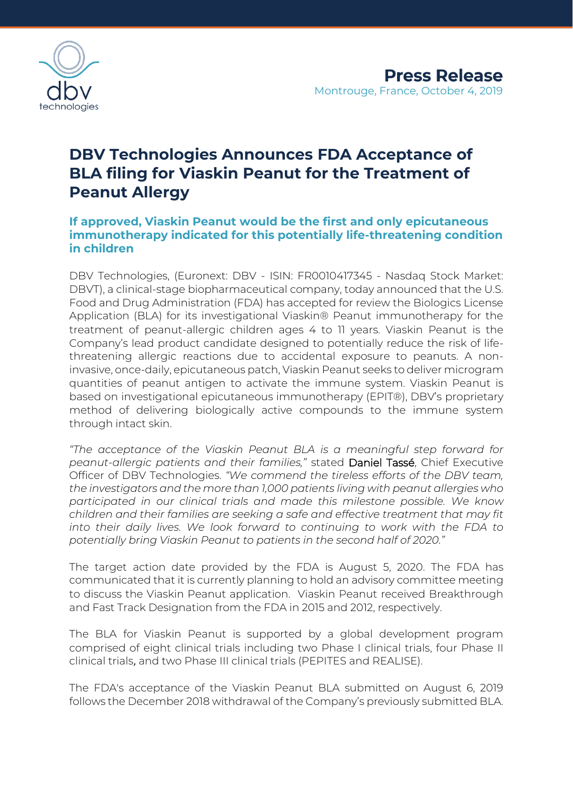

# **DBV Technologies Announces FDA Acceptance of BLA filing for Viaskin Peanut for the Treatment of Peanut Allergy**

## **If approved, Viaskin Peanut would be the first and only epicutaneous immunotherapy indicated for this potentially life-threatening condition in children**

DBV Technologies, (Euronext: DBV - ISIN: FR0010417345 - Nasdaq Stock Market: DBVT), a clinical-stage biopharmaceutical company, today announced that the U.S. Food and Drug Administration (FDA) has accepted for review the Biologics License Application (BLA) for its investigational Viaskin® Peanut immunotherapy for the treatment of peanut-allergic children ages 4 to 11 years. Viaskin Peanut is the Company's lead product candidate designed to potentially reduce the risk of lifethreatening allergic reactions due to accidental exposure to peanuts. A noninvasive, once-daily, epicutaneous patch, Viaskin Peanut seeks to deliver microgram quantities of peanut antigen to activate the immune system. Viaskin Peanut is based on investigational epicutaneous immunotherapy (EPIT®), DBV's proprietary method of delivering biologically active compounds to the immune system through intact skin.

*"The acceptance of the Viaskin Peanut BLA is a meaningful step forward for peanut-allergic patients and their families,"* stated Daniel Tassé, Chief Executive Officer of DBV Technologies. *"We commend the tireless efforts of the DBV team, the investigators and the more than 1,000 patients living with peanut allergies who participated in our clinical trials and made this milestone possible. We know children and their families are seeking a safe and effective treatment that may fit into their daily lives. We look forward to continuing to work with the FDA to potentially bring Viaskin Peanut to patients in the second half of 2020."* 

The target action date provided by the FDA is August 5, 2020. The FDA has communicated that it is currently planning to hold an advisory committee meeting to discuss the Viaskin Peanut application. Viaskin Peanut received Breakthrough and Fast Track Designation from the FDA in 2015 and 2012, respectively.

The BLA for Viaskin Peanut is supported by a global development program comprised of eight clinical trials including two Phase I clinical trials, four Phase II clinical trials, and two Phase III clinical trials (PEPITES and REALISE).

The FDA's acceptance of the Viaskin Peanut BLA submitted on August 6, 2019 follows the December 2018 withdrawal of the Company's previously submitted BLA.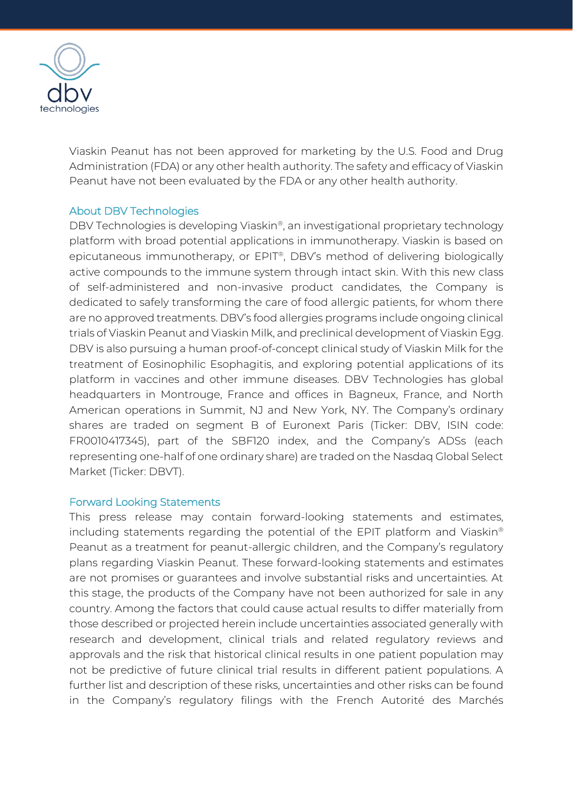

Viaskin Peanut has not been approved for marketing by the U.S. Food and Drug Administration (FDA) or any other health authority. The safety and efficacy of Viaskin Peanut have not been evaluated by the FDA or any other health authority.

## About DBV Technologies

DBV Technologies is developing Viaskin®, an investigational proprietary technology platform with broad potential applications in immunotherapy. Viaskin is based on epicutaneous immunotherapy, or EPIT®, DBV's method of delivering biologically active compounds to the immune system through intact skin. With this new class of self-administered and non-invasive product candidates, the Company is dedicated to safely transforming the care of food allergic patients, for whom there are no approved treatments. DBV's food allergies programs include ongoing clinical trials of Viaskin Peanut and Viaskin Milk, and preclinical development of Viaskin Egg. DBV is also pursuing a human proof-of-concept clinical study of Viaskin Milk for the treatment of Eosinophilic Esophagitis, and exploring potential applications of its platform in vaccines and other immune diseases. DBV Technologies has global headquarters in Montrouge, France and offices in Bagneux, France, and North American operations in Summit, NJ and New York, NY. The Company's ordinary shares are traded on segment B of Euronext Paris (Ticker: DBV, ISIN code: FR0010417345), part of the SBF120 index, and the Company's ADSs (each representing one-half of one ordinary share) are traded on the Nasdaq Global Select Market (Ticker: DBVT).

## Forward Looking Statements

This press release may contain forward-looking statements and estimates, including statements regarding the potential of the EPIT platform and Viaskin® Peanut as a treatment for peanut-allergic children, and the Company's regulatory plans regarding Viaskin Peanut. These forward-looking statements and estimates are not promises or guarantees and involve substantial risks and uncertainties. At this stage, the products of the Company have not been authorized for sale in any country. Among the factors that could cause actual results to differ materially from those described or projected herein include uncertainties associated generally with research and development, clinical trials and related regulatory reviews and approvals and the risk that historical clinical results in one patient population may not be predictive of future clinical trial results in different patient populations. A further list and description of these risks, uncertainties and other risks can be found in the Company's regulatory filings with the French Autorité des Marchés